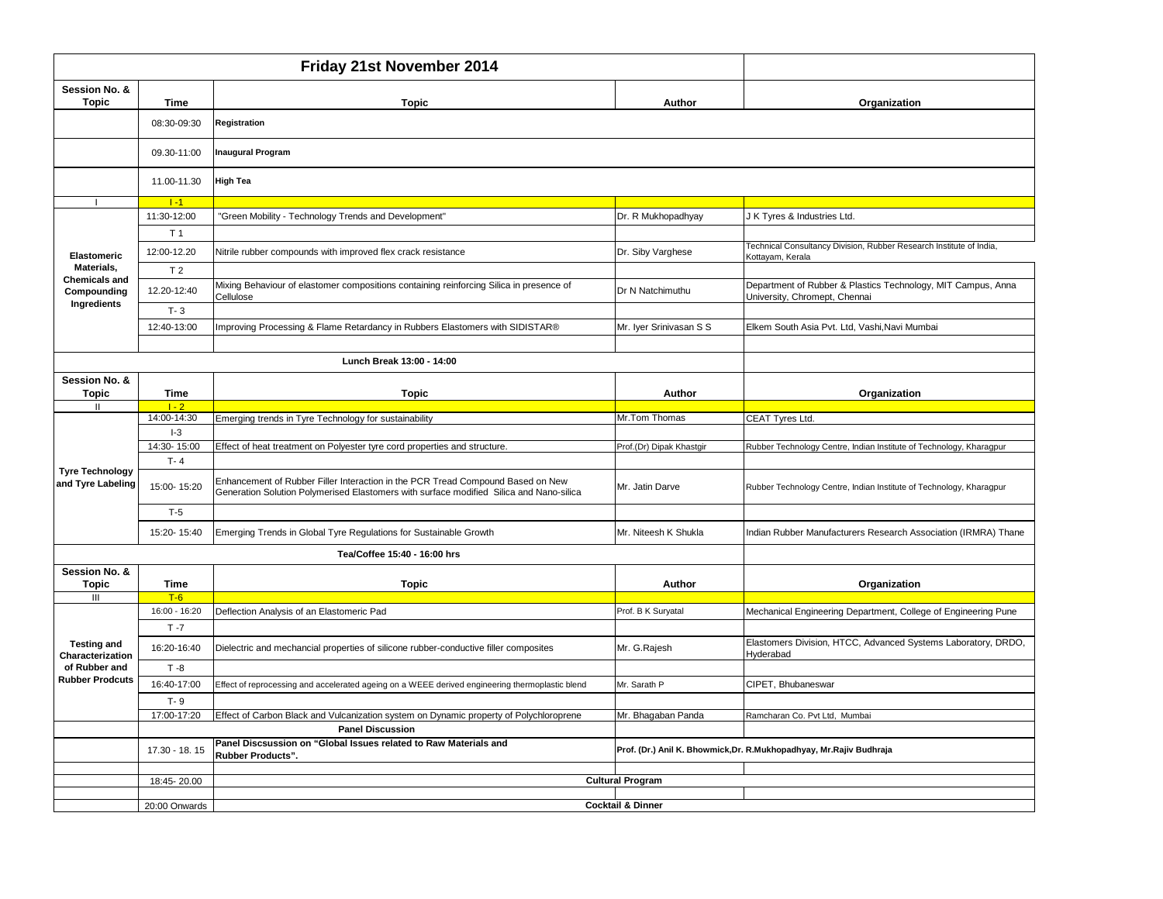| Friday 21st November 2014              |                                                                                                                                                                                 |                                                                                                                                                                            |                          |                                                                                               |  |  |
|----------------------------------------|---------------------------------------------------------------------------------------------------------------------------------------------------------------------------------|----------------------------------------------------------------------------------------------------------------------------------------------------------------------------|--------------------------|-----------------------------------------------------------------------------------------------|--|--|
| Session No. &<br><b>Topic</b>          | <b>Time</b>                                                                                                                                                                     | <b>Topic</b>                                                                                                                                                               | Author                   | Organization                                                                                  |  |  |
|                                        | 08:30-09:30                                                                                                                                                                     | Registration                                                                                                                                                               |                          |                                                                                               |  |  |
|                                        | 09.30-11:00                                                                                                                                                                     | <b>Inaugural Program</b>                                                                                                                                                   |                          |                                                                                               |  |  |
|                                        | 11.00-11.30                                                                                                                                                                     | <b>High Tea</b>                                                                                                                                                            |                          |                                                                                               |  |  |
|                                        | $1 - 1$                                                                                                                                                                         |                                                                                                                                                                            |                          |                                                                                               |  |  |
|                                        | 11:30-12:00                                                                                                                                                                     | "Green Mobility - Technology Trends and Development"                                                                                                                       | Dr. R Mukhopadhyay       | J K Tyres & Industries Ltd.                                                                   |  |  |
|                                        | T <sub>1</sub>                                                                                                                                                                  |                                                                                                                                                                            |                          |                                                                                               |  |  |
| Elastomeric                            | 12:00-12.20                                                                                                                                                                     | Nitrile rubber compounds with improved flex crack resistance                                                                                                               | Dr. Siby Varghese        | Technical Consultancy Division, Rubber Research Institute of India,<br>Kottayam, Kerala       |  |  |
| Materials.                             | T <sub>2</sub>                                                                                                                                                                  |                                                                                                                                                                            |                          |                                                                                               |  |  |
| <b>Chemicals and</b><br>Compounding    | 12.20-12:40                                                                                                                                                                     | Mixing Behaviour of elastomer compositions containing reinforcing Silica in presence of<br>Cellulose                                                                       | Dr N Natchimuthu         | Department of Rubber & Plastics Technology, MIT Campus, Anna<br>University, Chromept, Chennai |  |  |
| Ingredients                            | $T - 3$                                                                                                                                                                         |                                                                                                                                                                            |                          |                                                                                               |  |  |
|                                        | 12:40-13:00                                                                                                                                                                     | Improving Processing & Flame Retardancy in Rubbers Elastomers with SIDISTAR®                                                                                               | Mr. Iyer Srinivasan S S  | Elkem South Asia Pvt. Ltd, Vashi, Navi Mumbai                                                 |  |  |
|                                        |                                                                                                                                                                                 | Lunch Break 13:00 - 14:00                                                                                                                                                  |                          |                                                                                               |  |  |
| Session No. &                          |                                                                                                                                                                                 |                                                                                                                                                                            |                          |                                                                                               |  |  |
| <b>Topic</b>                           | Time                                                                                                                                                                            | <b>Topic</b>                                                                                                                                                               | Author                   | Organization                                                                                  |  |  |
|                                        | $1 - 2$                                                                                                                                                                         |                                                                                                                                                                            |                          |                                                                                               |  |  |
|                                        | 14:00-14:30                                                                                                                                                                     | Emerging trends in Tyre Technology for sustainability                                                                                                                      | Mr.Tom Thomas            | CEAT Tyres Ltd.                                                                               |  |  |
|                                        | $I-3$                                                                                                                                                                           |                                                                                                                                                                            |                          |                                                                                               |  |  |
|                                        | 14:30-15:00                                                                                                                                                                     | Effect of heat treatment on Polyester tyre cord properties and structure.                                                                                                  | Prof.(Dr) Dipak Khastgir | Rubber Technology Centre, Indian Institute of Technology, Kharagpur                           |  |  |
| <b>Tyre Technology</b>                 | $T - 4$                                                                                                                                                                         |                                                                                                                                                                            |                          |                                                                                               |  |  |
| and Tyre Labeling                      | 15:00-15:20                                                                                                                                                                     | Enhancement of Rubber Filler Interaction in the PCR Tread Compound Based on New<br>Generation Solution Polymerised Elastomers with surface modified Silica and Nano-silica | Mr. Jatin Darve          | Rubber Technology Centre, Indian Institute of Technology, Kharagpur                           |  |  |
|                                        | $T-5$                                                                                                                                                                           |                                                                                                                                                                            |                          |                                                                                               |  |  |
|                                        | 15:20-15:40                                                                                                                                                                     | Emerging Trends in Global Tyre Regulations for Sustainable Growth                                                                                                          | Mr. Niteesh K Shukla     | Indian Rubber Manufacturers Research Association (IRMRA) Thane                                |  |  |
| Tea/Coffee 15:40 - 16:00 hrs           |                                                                                                                                                                                 |                                                                                                                                                                            |                          |                                                                                               |  |  |
| Session No. &                          |                                                                                                                                                                                 |                                                                                                                                                                            |                          |                                                                                               |  |  |
| <b>Topic</b>                           | <b>Time</b>                                                                                                                                                                     | Topic                                                                                                                                                                      | Author                   | Organization                                                                                  |  |  |
| III                                    | $T-6$                                                                                                                                                                           |                                                                                                                                                                            |                          |                                                                                               |  |  |
|                                        | 16:00 - 16:20<br>$T - 7$                                                                                                                                                        | Deflection Analysis of an Elastomeric Pad                                                                                                                                  | Prof. B K Suryatal       | Mechanical Engineering Department, College of Engineering Pune                                |  |  |
| <b>Testing and</b><br>Characterization | 16:20-16:40                                                                                                                                                                     | Dielectric and mechancial properties of silicone rubber-conductive filler composites                                                                                       | Mr. G.Rajesh             | Elastomers Division, HTCC, Advanced Systems Laboratory, DRDO,<br>Hyderabad                    |  |  |
| of Rubber and                          | $T - 8$                                                                                                                                                                         |                                                                                                                                                                            |                          |                                                                                               |  |  |
| <b>Rubber Prodcuts</b>                 | 16:40-17:00                                                                                                                                                                     | Effect of reprocessing and accelerated ageing on a WEEE derived engineering thermoplastic blend                                                                            | Mr. Sarath P             | CIPET, Bhubaneswar                                                                            |  |  |
|                                        | $T - 9$                                                                                                                                                                         |                                                                                                                                                                            |                          |                                                                                               |  |  |
|                                        | 17:00-17:20                                                                                                                                                                     | Effect of Carbon Black and Vulcanization system on Dynamic property of Polychloroprene                                                                                     | Mr. Bhagaban Panda       | Ramcharan Co. Pvt Ltd, Mumbai                                                                 |  |  |
|                                        |                                                                                                                                                                                 | <b>Panel Discussion</b>                                                                                                                                                    |                          |                                                                                               |  |  |
|                                        | Panel Discsussion on "Global Issues related to Raw Materials and<br>Prof. (Dr.) Anil K. Bhowmick, Dr. R. Mukhopadhyay, Mr. Rajiv Budhraja<br>17.30 - 18.15<br>Rubber Products". |                                                                                                                                                                            |                          |                                                                                               |  |  |
|                                        |                                                                                                                                                                                 |                                                                                                                                                                            |                          |                                                                                               |  |  |
|                                        | 18:45-20.00                                                                                                                                                                     |                                                                                                                                                                            | <b>Cultural Program</b>  |                                                                                               |  |  |
|                                        |                                                                                                                                                                                 |                                                                                                                                                                            |                          |                                                                                               |  |  |
|                                        | 20:00 Onwards                                                                                                                                                                   | <b>Cocktail &amp; Dinner</b>                                                                                                                                               |                          |                                                                                               |  |  |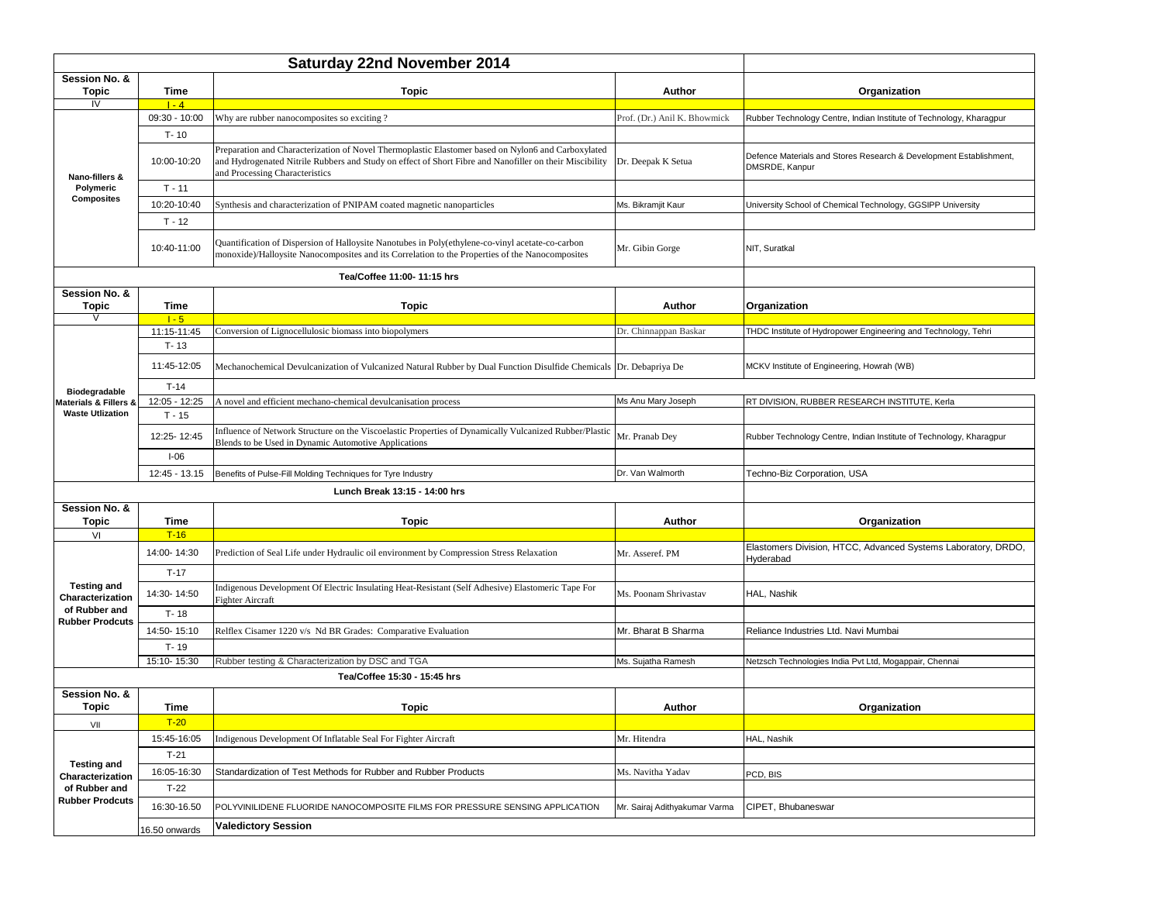|                                                                                   | <b>Saturday 22nd November 2014</b> |                                                                                                                                                                                                                                                 |                               |                                                                                      |
|-----------------------------------------------------------------------------------|------------------------------------|-------------------------------------------------------------------------------------------------------------------------------------------------------------------------------------------------------------------------------------------------|-------------------------------|--------------------------------------------------------------------------------------|
| Session No. &                                                                     |                                    |                                                                                                                                                                                                                                                 |                               |                                                                                      |
| <b>Topic</b><br>IV                                                                | Time<br>$1 - 4$                    | <b>Topic</b>                                                                                                                                                                                                                                    | Author                        | Organization                                                                         |
| Nano-fillers &                                                                    | 09:30 - 10:00                      | Why are rubber nanocomposites so exciting ?                                                                                                                                                                                                     | Prof. (Dr.) Anil K. Bhowmick  | Rubber Technology Centre, Indian Institute of Technology, Kharagpur                  |
|                                                                                   | $T - 10$                           |                                                                                                                                                                                                                                                 |                               |                                                                                      |
|                                                                                   | 10:00-10:20                        | Preparation and Characterization of Novel Thermoplastic Elastomer based on Nylon6 and Carboxylated<br>and Hydrogenated Nitrile Rubbers and Study on effect of Short Fibre and Nanofiller on their Miscibility<br>and Processing Characteristics | Dr. Deepak K Setua            | Defence Materials and Stores Research & Development Establishment,<br>DMSRDE, Kanpur |
| Polymeric                                                                         | $T - 11$                           |                                                                                                                                                                                                                                                 |                               |                                                                                      |
| <b>Composites</b>                                                                 | 10:20-10:40                        | Synthesis and characterization of PNIPAM coated magnetic nanoparticles                                                                                                                                                                          | Ms. Bikramjit Kaur            | University School of Chemical Technology, GGSIPP University                          |
|                                                                                   | $T - 12$                           |                                                                                                                                                                                                                                                 |                               |                                                                                      |
|                                                                                   | 10:40-11:00                        | Quantification of Dispersion of Halloysite Nanotubes in Poly(ethylene-co-vinyl acetate-co-carbon<br>monoxide)/Halloysite Nanocomposites and its Correlation to the Properties of the Nanocomposites                                             | Mr. Gibin Gorge               | NIT, Suratkal                                                                        |
|                                                                                   |                                    | Tea/Coffee 11:00- 11:15 hrs                                                                                                                                                                                                                     |                               |                                                                                      |
| Session No. &                                                                     |                                    |                                                                                                                                                                                                                                                 |                               |                                                                                      |
| <b>Topic</b>                                                                      | Time                               | <b>Topic</b>                                                                                                                                                                                                                                    | Author                        | Organization                                                                         |
| V                                                                                 | $1 - 5$                            |                                                                                                                                                                                                                                                 |                               |                                                                                      |
|                                                                                   | 11:15-11:45<br>$T - 13$            | Conversion of Lignocellulosic biomass into biopolymers                                                                                                                                                                                          | Dr. Chinnappan Baskar         | THDC Institute of Hydropower Engineering and Technology, Tehri                       |
|                                                                                   | 11:45-12:05                        | Mechanochemical Devulcanization of Vulcanized Natural Rubber by Dual Function Disulfide Chemicals Dr. Debapriya De                                                                                                                              |                               | MCKV Institute of Engineering, Howrah (WB)                                           |
| Biodegradable                                                                     | $T-14$                             |                                                                                                                                                                                                                                                 |                               |                                                                                      |
| Materials & Fillers &                                                             | 12:05 - 12:25                      | A novel and efficient mechano-chemical devulcanisation process                                                                                                                                                                                  | Ms Anu Mary Joseph            | RT DIVISION, RUBBER RESEARCH INSTITUTE, Kerla                                        |
| <b>Waste Utlization</b>                                                           | $T - 15$                           |                                                                                                                                                                                                                                                 |                               |                                                                                      |
|                                                                                   | 12:25-12:45                        | influence of Network Structure on the Viscoelastic Properties of Dynamically Vulcanized Rubber/Plastic<br>Blends to be Used in Dynamic Automotive Applications                                                                                  | Mr. Pranab Dey                | Rubber Technology Centre, Indian Institute of Technology, Kharagpur                  |
|                                                                                   | $I-06$                             |                                                                                                                                                                                                                                                 |                               |                                                                                      |
|                                                                                   | 12:45 - 13.15                      | Benefits of Pulse-Fill Molding Techniques for Tyre Industry                                                                                                                                                                                     | Dr. Van Walmorth              | Techno-Biz Corporation, USA                                                          |
|                                                                                   |                                    | Lunch Break 13:15 - 14:00 hrs                                                                                                                                                                                                                   |                               |                                                                                      |
| Session No. &<br>Topic                                                            | Time                               | Topic                                                                                                                                                                                                                                           | Author                        | Organization                                                                         |
| VI                                                                                | $T-16$                             |                                                                                                                                                                                                                                                 |                               |                                                                                      |
|                                                                                   | 14:00-14:30                        | Prediction of Seal Life under Hydraulic oil environment by Compression Stress Relaxation                                                                                                                                                        | Mr. Asseref. PM               | Elastomers Division, HTCC, Advanced Systems Laboratory, DRDO,<br>Hyderabad           |
|                                                                                   | $T-17$                             |                                                                                                                                                                                                                                                 |                               |                                                                                      |
| <b>Testing and</b><br>Characterization                                            | 14:30-14:50                        | Indigenous Development Of Electric Insulating Heat-Resistant (Self Adhesive) Elastomeric Tape For<br>Fighter Aircraft                                                                                                                           | Ms. Poonam Shrivastav         | HAL, Nashik                                                                          |
| of Rubber and<br><b>Rubber Prodcuts</b>                                           | $T - 18$                           |                                                                                                                                                                                                                                                 |                               |                                                                                      |
|                                                                                   | 14:50-15:10                        | Relflex Cisamer 1220 v/s Nd BR Grades: Comparative Evaluation                                                                                                                                                                                   | Mr. Bharat B Sharma           | Reliance Industries Ltd. Navi Mumbai                                                 |
|                                                                                   | $T - 19$                           |                                                                                                                                                                                                                                                 |                               |                                                                                      |
|                                                                                   | 15:10-15:30                        | Rubber testing & Characterization by DSC and TGA                                                                                                                                                                                                | Ms. Sujatha Ramesh            | Netzsch Technologies India Pvt Ltd, Mogappair, Chennai                               |
|                                                                                   |                                    | Tea/Coffee 15:30 - 15:45 hrs                                                                                                                                                                                                                    |                               |                                                                                      |
| Session No. &<br>Topic                                                            | Time                               | Topic                                                                                                                                                                                                                                           | Author                        | Organization                                                                         |
| VII                                                                               | $T-20$                             |                                                                                                                                                                                                                                                 |                               |                                                                                      |
| <b>Testing and</b><br>Characterization<br>of Rubber and<br><b>Rubber Prodcuts</b> | 15:45-16:05                        | Indigenous Development Of Inflatable Seal For Fighter Aircraft                                                                                                                                                                                  | Mr. Hitendra                  | HAL, Nashik                                                                          |
|                                                                                   | $T-21$                             |                                                                                                                                                                                                                                                 |                               |                                                                                      |
|                                                                                   | 16:05-16:30                        | Standardization of Test Methods for Rubber and Rubber Products                                                                                                                                                                                  | Ms. Navitha Yadav             | PCD, BIS                                                                             |
|                                                                                   | $T-22$                             |                                                                                                                                                                                                                                                 |                               |                                                                                      |
|                                                                                   | 16:30-16.50                        | POLYVINILIDENE FLUORIDE NANOCOMPOSITE FILMS FOR PRESSURE SENSING APPLICATION                                                                                                                                                                    | Mr. Sairaj Adithyakumar Varma | CIPET, Bhubaneswar                                                                   |
|                                                                                   | 16.50 onwards                      | <b>Valedictory Session</b>                                                                                                                                                                                                                      |                               |                                                                                      |